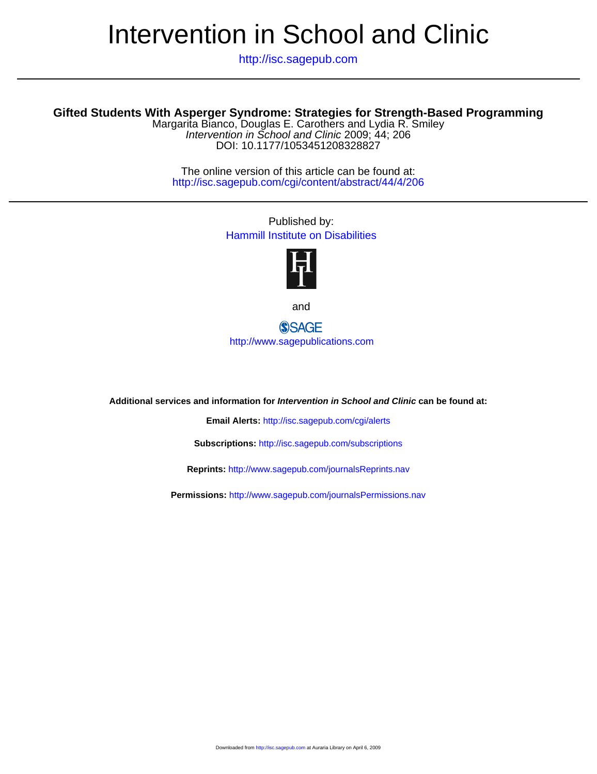# Intervention in School and Clinic

http://isc.sagepub.com

#### **Gifted Students With Asperger Syndrome: Strategies for Strength-Based Programming**

DOI: 10.1177/1053451208328827 Intervention in School and Clinic 2009; 44; 206 Margarita Bianco, Douglas E. Carothers and Lydia R. Smiley

http://isc.sagepub.com/cgi/content/abstract/44/4/206 The online version of this article can be found at:

> Published by: [Hammill Institute on Disabilities](http://www.hammill-institute.org)



and

**SSAGE** http://www.sagepublications.com

**Additional services and information for Intervention in School and Clinic can be found at:**

**Email Alerts:** <http://isc.sagepub.com/cgi/alerts>

**Subscriptions:** <http://isc.sagepub.com/subscriptions>

**Reprints:** <http://www.sagepub.com/journalsReprints.nav>

**Permissions:** <http://www.sagepub.com/journalsPermissions.nav>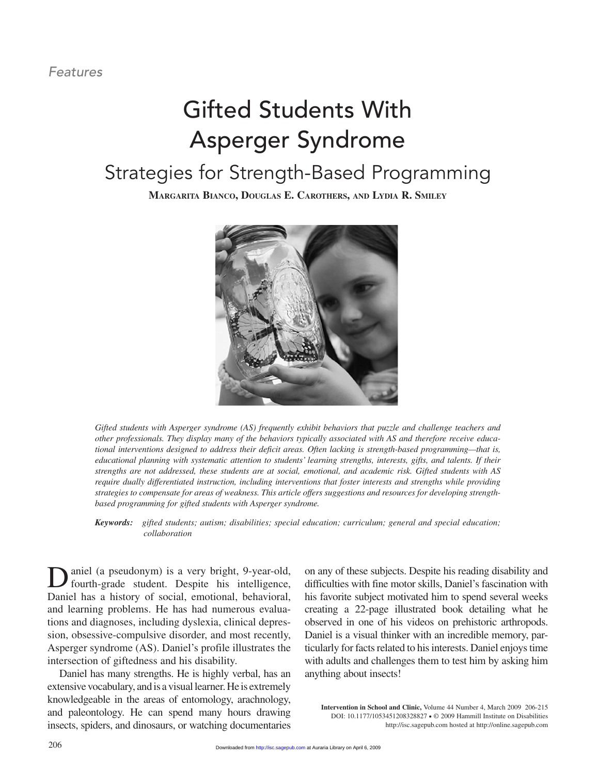# Gifted Students With Asperger Syndrome

# Strategies for Strength-Based Programming

**Margarita Bianco, Douglas E. Carothers, and Lydia R. Smiley**



*Gifted students with Asperger syndrome (AS) frequently exhibit behaviors that puzzle and challenge teachers and other professionals. They display many of the behaviors typically associated with AS and therefore receive educational interventions designed to address their deficit areas. Often lacking is strength-based programming—that is, educational planning with systematic attention to students' learning strengths, interests, gifts, and talents. If their strengths are not addressed, these students are at social, emotional, and academic risk. Gifted students with AS require dually differentiated instruction, including interventions that foster interests and strengths while providing strategies to compensate for areas of weakness. This article offers suggestions and resources for developing strengthbased programming for gifted students with Asperger syndrome.*

*Keywords: gifted students; autism; disabilities; special education; curriculum; general and special education; collaboration*

Daniel (a pseudonym) is a very bright, 9-year-old, fourth-grade student. Despite his intelligence, Daniel has a history of social, emotional, behavioral, and learning problems. He has had numerous evaluations and diagnoses, including dyslexia, clinical depression, obsessive-compulsive disorder, and most recently, Asperger syndrome (AS). Daniel's profile illustrates the intersection of giftedness and his disability.

Daniel has many strengths. He is highly verbal, has an extensive vocabulary, and is a visual learner. He is extremely knowledgeable in the areas of entomology, arachnology, and paleontology. He can spend many hours drawing insects, spiders, and dinosaurs, or watching documentaries on any of these subjects. Despite his reading disability and difficulties with fine motor skills, Daniel's fascination with his favorite subject motivated him to spend several weeks creating a 22-page illustrated book detailing what he observed in one of his videos on prehistoric arthropods. Daniel is a visual thinker with an incredible memory, particularly for facts related to his interests. Daniel enjoys time with adults and challenges them to test him by asking him anything about insects!

**Intervention in School and Clinic,** Volume 44 Number 4, March 2009 206-215 DOI: 10.1177/1053451208328827 • © 2009 Hammill Institute on Disabilities http://isc.sagepub.com hosted at http://online.sagepub.com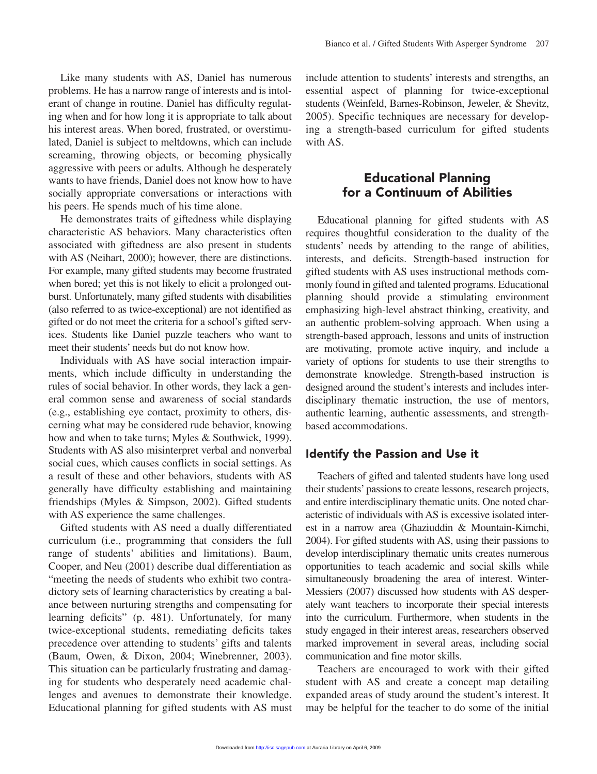Like many students with AS, Daniel has numerous problems. He has a narrow range of interests and is intolerant of change in routine. Daniel has difficulty regulating when and for how long it is appropriate to talk about his interest areas. When bored, frustrated, or overstimulated, Daniel is subject to meltdowns, which can include screaming, throwing objects, or becoming physically aggressive with peers or adults. Although he desperately wants to have friends, Daniel does not know how to have socially appropriate conversations or interactions with his peers. He spends much of his time alone.

He demonstrates traits of giftedness while displaying characteristic AS behaviors. Many characteristics often associated with giftedness are also present in students with AS (Neihart, 2000); however, there are distinctions. For example, many gifted students may become frustrated when bored; yet this is not likely to elicit a prolonged outburst. Unfortunately, many gifted students with disabilities (also referred to as twice-exceptional) are not identified as gifted or do not meet the criteria for a school's gifted services. Students like Daniel puzzle teachers who want to meet their students' needs but do not know how.

Individuals with AS have social interaction impairments, which include difficulty in understanding the rules of social behavior. In other words, they lack a general common sense and awareness of social standards (e.g., establishing eye contact, proximity to others, discerning what may be considered rude behavior, knowing how and when to take turns; Myles & Southwick, 1999). Students with AS also misinterpret verbal and nonverbal social cues, which causes conflicts in social settings. As a result of these and other behaviors, students with AS generally have difficulty establishing and maintaining friendships (Myles & Simpson, 2002). Gifted students with AS experience the same challenges.

Gifted students with AS need a dually differentiated curriculum (i.e., programming that considers the full range of students' abilities and limitations). Baum, Cooper, and Neu (2001) describe dual differentiation as "meeting the needs of students who exhibit two contradictory sets of learning characteristics by creating a balance between nurturing strengths and compensating for learning deficits" (p. 481). Unfortunately, for many twice-exceptional students, remediating deficits takes precedence over attending to students' gifts and talents (Baum, Owen, & Dixon, 2004; Winebrenner, 2003). This situation can be particularly frustrating and damaging for students who desperately need academic challenges and avenues to demonstrate their knowledge. Educational planning for gifted students with AS must include attention to students' interests and strengths, an essential aspect of planning for twice-exceptional students (Weinfeld, Barnes-Robinson, Jeweler, & Shevitz, 2005). Specific techniques are necessary for developing a strength-based curriculum for gifted students with AS.

# Educational Planning for a Continuum of Abilities

Educational planning for gifted students with AS requires thoughtful consideration to the duality of the students' needs by attending to the range of abilities, interests, and deficits. Strength-based instruction for gifted students with AS uses instructional methods commonly found in gifted and talented programs. Educational planning should provide a stimulating environment emphasizing high-level abstract thinking, creativity, and an authentic problem-solving approach. When using a strength-based approach, lessons and units of instruction are motivating, promote active inquiry, and include a variety of options for students to use their strengths to demonstrate knowledge. Strength-based instruction is designed around the student's interests and includes interdisciplinary thematic instruction, the use of mentors, authentic learning, authentic assessments, and strengthbased accommodations.

#### Identify the Passion and Use it

Teachers of gifted and talented students have long used their students' passions to create lessons, research projects, and entire interdisciplinary thematic units. One noted characteristic of individuals with AS is excessive isolated interest in a narrow area (Ghaziuddin & Mountain-Kimchi, 2004). For gifted students with AS, using their passions to develop interdisciplinary thematic units creates numerous opportunities to teach academic and social skills while simultaneously broadening the area of interest. Winter-Messiers (2007) discussed how students with AS desperately want teachers to incorporate their special interests into the curriculum. Furthermore, when students in the study engaged in their interest areas, researchers observed marked improvement in several areas, including social communication and fine motor skills.

Teachers are encouraged to work with their gifted student with AS and create a concept map detailing expanded areas of study around the student's interest. It may be helpful for the teacher to do some of the initial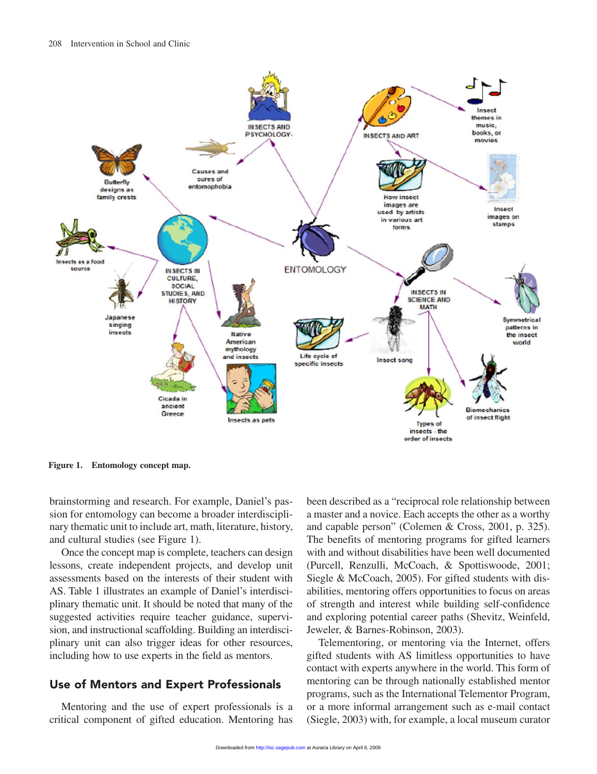

**Figure 1. Entomology concept map.**

brainstorming and research. For example, Daniel's passion for entomology can become a broader interdisciplinary thematic unit to include art, math, literature, history, and cultural studies (see Figure 1).

Once the concept map is complete, teachers can design lessons, create independent projects, and develop unit assessments based on the interests of their student with AS. Table 1 illustrates an example of Daniel's interdisciplinary thematic unit. It should be noted that many of the suggested activities require teacher guidance, supervision, and instructional scaffolding. Building an interdisciplinary unit can also trigger ideas for other resources, including how to use experts in the field as mentors.

#### Use of Mentors and Expert Professionals

Mentoring and the use of expert professionals is a critical component of gifted education. Mentoring has been described as a "reciprocal role relationship between a master and a novice. Each accepts the other as a worthy and capable person" (Colemen & Cross, 2001, p. 325). The benefits of mentoring programs for gifted learners with and without disabilities have been well documented (Purcell, Renzulli, McCoach, & Spottiswoode, 2001; Siegle & McCoach, 2005). For gifted students with disabilities, mentoring offers opportunities to focus on areas of strength and interest while building self-confidence and exploring potential career paths (Shevitz, Weinfeld, Jeweler, & Barnes-Robinson, 2003).

Telementoring, or mentoring via the Internet, offers gifted students with AS limitless opportunities to have contact with experts anywhere in the world. This form of mentoring can be through nationally established mentor programs, such as the International Telementor Program, or a more informal arrangement such as e-mail contact (Siegle, 2003) with, for example, a local museum curator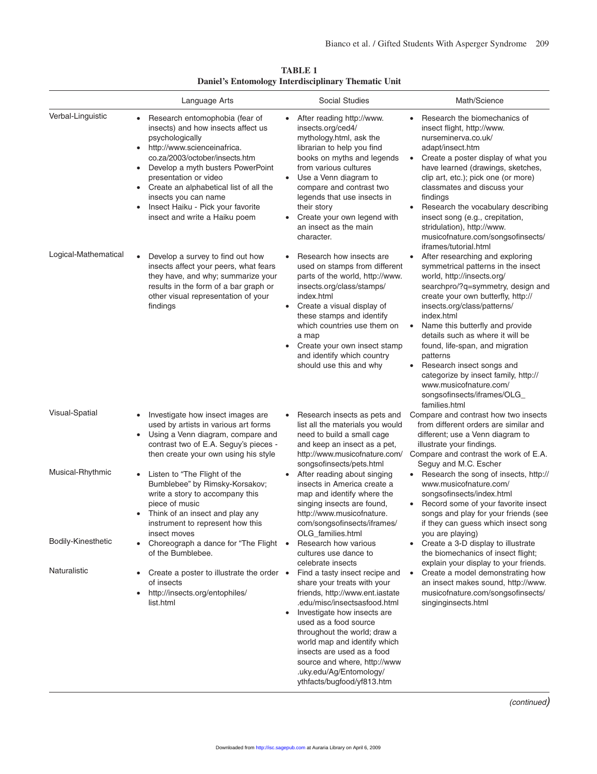|                                        | Language Arts                                                                                                                                                                                                                                                                                                                                                                              | Social Studies                                                                                                                                                                                                                                                                                                                                                                                                                | Math/Science                                                                                                                                                                                                                                                                                                                                                                                                                                                                                                               |
|----------------------------------------|--------------------------------------------------------------------------------------------------------------------------------------------------------------------------------------------------------------------------------------------------------------------------------------------------------------------------------------------------------------------------------------------|-------------------------------------------------------------------------------------------------------------------------------------------------------------------------------------------------------------------------------------------------------------------------------------------------------------------------------------------------------------------------------------------------------------------------------|----------------------------------------------------------------------------------------------------------------------------------------------------------------------------------------------------------------------------------------------------------------------------------------------------------------------------------------------------------------------------------------------------------------------------------------------------------------------------------------------------------------------------|
| Verbal-Linguistic                      | Research entomophobia (fear of<br>$\bullet$<br>insects) and how insects affect us<br>psychologically<br>http://www.scienceinafrica.<br>$\bullet$<br>co.za/2003/october/insects.htm<br>Develop a myth busters PowerPoint<br>presentation or video<br>• Create an alphabetical list of all the<br>insects you can name<br>Insect Haiku - Pick your favorite<br>insect and write a Haiku poem | After reading http://www.<br>٠<br>insects.org/ced4/<br>mythology.html, ask the<br>librarian to help you find<br>books on myths and legends<br>from various cultures<br>Use a Venn diagram to<br>$\bullet$<br>compare and contrast two<br>legends that use insects in<br>their story<br>Create your own legend with<br>$\bullet$<br>an insect as the main<br>character.                                                        | Research the biomechanics of<br>$\bullet$<br>insect flight, http://www.<br>nurseminerva.co.uk/<br>adapt/insect.htm<br>Create a poster display of what you<br>$\bullet$<br>have learned (drawings, sketches,<br>clip art, etc.); pick one (or more)<br>classmates and discuss your<br>findings<br>Research the vocabulary describing<br>$\bullet$<br>insect song (e.g., crepitation,<br>stridulation), http://www.<br>musicofnature.com/songsofinsects/<br>iframes/tutorial.html                                            |
| Logical-Mathematical                   | Develop a survey to find out how<br>$\bullet$<br>insects affect your peers, what fears<br>they have, and why; summarize your<br>results in the form of a bar graph or<br>other visual representation of your<br>findings                                                                                                                                                                   | Research how insects are<br>used on stamps from different<br>parts of the world, http://www.<br>insects.org/class/stamps/<br>index.html<br>Create a visual display of<br>$\bullet$<br>these stamps and identify<br>which countries use them on<br>a map<br>Create your own insect stamp<br>and identify which country<br>should use this and why                                                                              | After researching and exploring<br>symmetrical patterns in the insect<br>world, http://insects.org/<br>searchpro/?q=symmetry, design and<br>create your own butterfly, http://<br>insects.org/class/patterns/<br>index.html<br>Name this butterfly and provide<br>$\bullet$<br>details such as where it will be<br>found, life-span, and migration<br>patterns<br>Research insect songs and<br>$\bullet$<br>categorize by insect family, http://<br>www.musicofnature.com/<br>songsofinsects/iframes/OLG_<br>families.html |
| <b>Visual-Spatial</b>                  | Investigate how insect images are<br>$\bullet$<br>used by artists in various art forms<br>Using a Venn diagram, compare and<br>contrast two of E.A. Seguy's pieces -<br>then create your own using his style                                                                                                                                                                               | Research insects as pets and<br>list all the materials you would<br>need to build a small cage<br>and keep an insect as a pet,<br>http://www.musicofnature.com/<br>songsofinsects/pets.html                                                                                                                                                                                                                                   | Compare and contrast how two insects<br>from different orders are similar and<br>different; use a Venn diagram to<br>illustrate your findings.<br>Compare and contrast the work of E.A.<br>Seguy and M.C. Escher                                                                                                                                                                                                                                                                                                           |
| Musical-Rhythmic<br>Bodily-Kinesthetic | Listen to "The Flight of the<br>$\bullet$<br>Bumblebee" by Rimsky-Korsakov;<br>write a story to accompany this<br>piece of music<br>Think of an insect and play any<br>instrument to represent how this<br>insect moves<br>Choreograph a dance for "The Flight .                                                                                                                           | After reading about singing<br>insects in America create a<br>map and identify where the<br>singing insects are found,<br>http://www.musicofnature.<br>com/songsofinsects/iframes/<br>OLG_families.html<br>Research how various                                                                                                                                                                                               | Research the song of insects, http://<br>$\bullet$<br>www.musicofnature.com/<br>songsofinsects/index.html<br>Record some of your favorite insect<br>$\bullet$<br>songs and play for your friends (see<br>if they can guess which insect song<br>you are playing)<br>• Create a 3-D display to illustrate                                                                                                                                                                                                                   |
| Naturalistic                           | of the Bumblebee.<br>Create a poster to illustrate the order $\bullet$<br>$\bullet$<br>of insects<br>http://insects.org/entophiles/<br>list.html                                                                                                                                                                                                                                           | cultures use dance to<br>celebrate insects<br>Find a tasty insect recipe and<br>share your treats with your<br>friends, http://www.ent.iastate<br>.edu/misc/insectsasfood.html<br>Investigate how insects are<br>used as a food source<br>throughout the world; draw a<br>world map and identify which<br>insects are used as a food<br>source and where, http://www<br>.uky.edu/Ag/Entomology/<br>ythfacts/bugfood/yf813.htm | the biomechanics of insect flight;<br>explain your display to your friends.<br>Create a model demonstrating how<br>$\bullet$<br>an insect makes sound, http://www.<br>musicofnature.com/songsofinsects/<br>singinginsects.html                                                                                                                                                                                                                                                                                             |

**Table 1 Daniel's Entomology Interdisciplinary Thematic Unit**

*(continued)*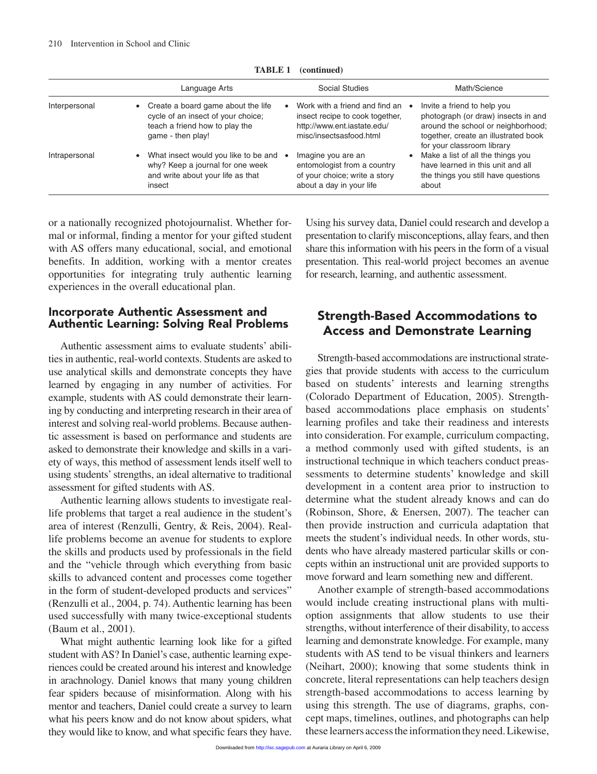|               | Language Arts                                                                                                                          | <b>Social Studies</b>                                                                                                                    | Math/Science                                                                                                                                                                   |
|---------------|----------------------------------------------------------------------------------------------------------------------------------------|------------------------------------------------------------------------------------------------------------------------------------------|--------------------------------------------------------------------------------------------------------------------------------------------------------------------------------|
| Interpersonal | • Create a board game about the life<br>cycle of an insect of your choice;<br>teach a friend how to play the<br>game - then play!      | Work with a friend and find an<br>$\bullet$<br>insect recipe to cook together,<br>http://www.ent.iastate.edu/<br>misc/insectsasfood.html | Invite a friend to help you<br>photograph (or draw) insects in and<br>around the school or neighborhood;<br>together, create an illustrated book<br>for your classroom library |
| Intrapersonal | What insect would you like to be and •<br>$\bullet$<br>why? Keep a journal for one week<br>and write about your life as that<br>insect | Imagine you are an<br>entomologist from a country<br>of your choice; write a story<br>about a day in your life                           | Make a list of all the things you<br>have learned in this unit and all<br>the things you still have questions<br>about                                                         |

**Table 1 (continued)**

or a nationally recognized photojournalist. Whether formal or informal, finding a mentor for your gifted student with AS offers many educational, social, and emotional benefits. In addition, working with a mentor creates opportunities for integrating truly authentic learning experiences in the overall educational plan.

#### Incorporate Authentic Assessment and Authentic Learning: Solving Real Problems

Authentic assessment aims to evaluate students' abilities in authentic, real-world contexts. Students are asked to use analytical skills and demonstrate concepts they have learned by engaging in any number of activities. For example, students with AS could demonstrate their learning by conducting and interpreting research in their area of interest and solving real-world problems. Because authentic assessment is based on performance and students are asked to demonstrate their knowledge and skills in a variety of ways, this method of assessment lends itself well to using students' strengths, an ideal alternative to traditional assessment for gifted students with AS.

Authentic learning allows students to investigate reallife problems that target a real audience in the student's area of interest (Renzulli, Gentry, & Reis, 2004). Reallife problems become an avenue for students to explore the skills and products used by professionals in the field and the "vehicle through which everything from basic skills to advanced content and processes come together in the form of student-developed products and services" (Renzulli et al., 2004, p. 74). Authentic learning has been used successfully with many twice-exceptional students (Baum et al., 2001).

What might authentic learning look like for a gifted student with AS? In Daniel's case, authentic learning experiences could be created around his interest and knowledge in arachnology. Daniel knows that many young children fear spiders because of misinformation. Along with his mentor and teachers, Daniel could create a survey to learn what his peers know and do not know about spiders, what they would like to know, and what specific fears they have. Using his survey data, Daniel could research and develop a presentation to clarify misconceptions, allay fears, and then share this information with his peers in the form of a visual presentation. This real-world project becomes an avenue for research, learning, and authentic assessment.

### Strength-Based Accommodations to Access and Demonstrate Learning

Strength-based accommodations are instructional strategies that provide students with access to the curriculum based on students' interests and learning strengths (Colorado Department of Education, 2005). Strengthbased accommodations place emphasis on students' learning profiles and take their readiness and interests into consideration. For example, curriculum compacting, a method commonly used with gifted students, is an instructional technique in which teachers conduct preassessments to determine students' knowledge and skill development in a content area prior to instruction to determine what the student already knows and can do (Robinson, Shore, & Enersen, 2007). The teacher can then provide instruction and curricula adaptation that meets the student's individual needs. In other words, students who have already mastered particular skills or concepts within an instructional unit are provided supports to move forward and learn something new and different.

Another example of strength-based accommodations would include creating instructional plans with multioption assignments that allow students to use their strengths, without interference of their disability, to access learning and demonstrate knowledge. For example, many students with AS tend to be visual thinkers and learners (Neihart, 2000); knowing that some students think in concrete, literal representations can help teachers design strength-based accommodations to access learning by using this strength. The use of diagrams, graphs, concept maps, timelines, outlines, and photographs can help these learners access the information they need. Likewise,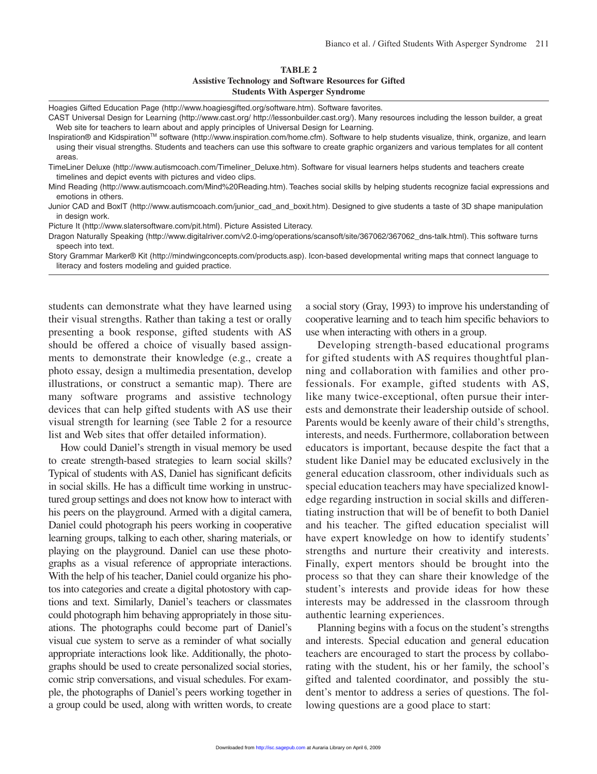#### **Table 2**

#### **Assistive Technology and Software Resources for Gifted Students With Asperger Syndrome**

Hoagies Gifted Education Page (http://www.hoagiesgifted.org/software.htm). Software favorites.

CAST Universal Design for Learning (http://www.cast.org/ http://lessonbuilder.cast.org/). Many resources including the lesson builder, a great Web site for teachers to learn about and apply principles of Universal Design for Learning.

Inspiration® and KidspirationTM software (http://www.inspiration.com/home.cfm). Software to help students visualize, think, organize, and learn using their visual strengths. Students and teachers can use this software to create graphic organizers and various templates for all content areas.

TimeLiner Deluxe (http://www.autismcoach.com/Timeliner\_Deluxe.htm). Software for visual learners helps students and teachers create timelines and depict events with pictures and video clips.

Mind Reading (http://www.autismcoach.com/Mind%20Reading.htm). Teaches social skills by helping students recognize facial expressions and emotions in others.

Junior CAD and BoxIT (http://www.autismcoach.com/junior\_cad\_and\_boxit.htm). Designed to give students a taste of 3D shape manipulation in design work.

Picture It (http://www.slatersoftware.com/pit.html). Picture Assisted Literacy.

Dragon Naturally Speaking (http://www.digitalriver.com/v2.0-img/operations/scansoft/site/367062/367062\_dns-talk.html). This software turns speech into text.

Story Grammar Marker® Kit (http://mindwingconcepts.com/products.asp). Icon-based developmental writing maps that connect language to literacy and fosters modeling and guided practice.

students can demonstrate what they have learned using their visual strengths. Rather than taking a test or orally presenting a book response, gifted students with AS should be offered a choice of visually based assignments to demonstrate their knowledge (e.g., create a photo essay, design a multimedia presentation, develop illustrations, or construct a semantic map). There are many software programs and assistive technology devices that can help gifted students with AS use their visual strength for learning (see Table 2 for a resource list and Web sites that offer detailed information).

How could Daniel's strength in visual memory be used to create strength-based strategies to learn social skills? Typical of students with AS, Daniel has significant deficits in social skills. He has a difficult time working in unstructured group settings and does not know how to interact with his peers on the playground. Armed with a digital camera, Daniel could photograph his peers working in cooperative learning groups, talking to each other, sharing materials, or playing on the playground. Daniel can use these photographs as a visual reference of appropriate interactions. With the help of his teacher, Daniel could organize his photos into categories and create a digital photostory with captions and text. Similarly, Daniel's teachers or classmates could photograph him behaving appropriately in those situations. The photographs could become part of Daniel's visual cue system to serve as a reminder of what socially appropriate interactions look like. Additionally, the photographs should be used to create personalized social stories, comic strip conversations, and visual schedules. For example, the photographs of Daniel's peers working together in a group could be used, along with written words, to create

a social story (Gray, 1993) to improve his understanding of cooperative learning and to teach him specific behaviors to use when interacting with others in a group.

Developing strength-based educational programs for gifted students with AS requires thoughtful planning and collaboration with families and other professionals. For example, gifted students with AS, like many twice-exceptional, often pursue their interests and demonstrate their leadership outside of school. Parents would be keenly aware of their child's strengths, interests, and needs. Furthermore, collaboration between educators is important, because despite the fact that a student like Daniel may be educated exclusively in the general education classroom, other individuals such as special education teachers may have specialized knowledge regarding instruction in social skills and differentiating instruction that will be of benefit to both Daniel and his teacher. The gifted education specialist will have expert knowledge on how to identify students' strengths and nurture their creativity and interests. Finally, expert mentors should be brought into the process so that they can share their knowledge of the student's interests and provide ideas for how these interests may be addressed in the classroom through authentic learning experiences.

Planning begins with a focus on the student's strengths and interests. Special education and general education teachers are encouraged to start the process by collaborating with the student, his or her family, the school's gifted and talented coordinator, and possibly the student's mentor to address a series of questions. The following questions are a good place to start: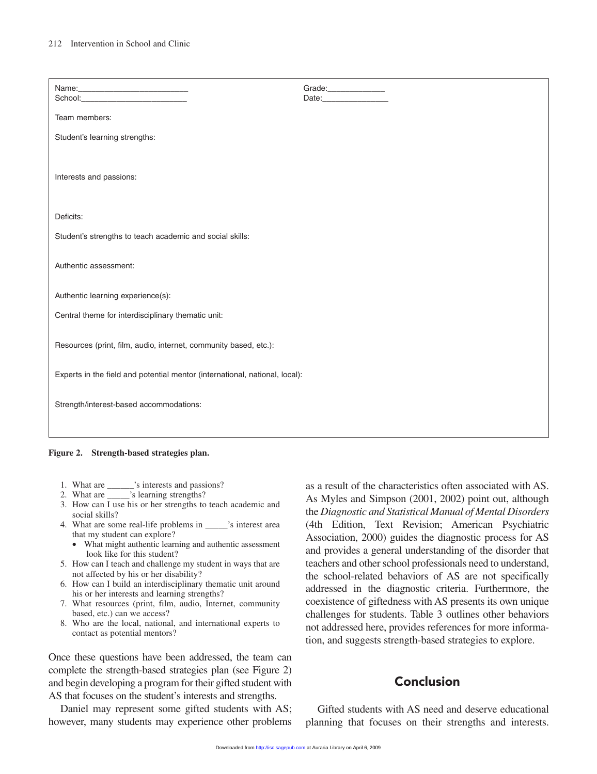|                                                                             | Grade:_____________ |  |  |  |
|-----------------------------------------------------------------------------|---------------------|--|--|--|
| Team members:                                                               |                     |  |  |  |
| Student's learning strengths:                                               |                     |  |  |  |
| Interests and passions:                                                     |                     |  |  |  |
| Deficits:                                                                   |                     |  |  |  |
| Student's strengths to teach academic and social skills:                    |                     |  |  |  |
| Authentic assessment:                                                       |                     |  |  |  |
| Authentic learning experience(s):                                           |                     |  |  |  |
| Central theme for interdisciplinary thematic unit:                          |                     |  |  |  |
| Resources (print, film, audio, internet, community based, etc.):            |                     |  |  |  |
| Experts in the field and potential mentor (international, national, local): |                     |  |  |  |
| Strength/interest-based accommodations:                                     |                     |  |  |  |

**Figure 2. Strength-based strategies plan.**

- 1. What are \_\_\_\_\_\_'s interests and passions?
- 2. What are  $\frac{1}{\sqrt{2}}$  is learning strengths?
- 3. How can I use his or her strengths to teach academic and social skills?
- 4. What are some real-life problems in \_\_\_\_\_'s interest area that my student can explore?
	- What might authentic learning and authentic assessment look like for this student?
- 5. How can I teach and challenge my student in ways that are not affected by his or her disability?
- 6. How can I build an interdisciplinary thematic unit around his or her interests and learning strengths?
- 7. What resources (print, film, audio, Internet, community based, etc.) can we access?
- 8. Who are the local, national, and international experts to contact as potential mentors?

Once these questions have been addressed, the team can complete the strength-based strategies plan (see Figure 2) and begin developing a program for their gifted student with AS that focuses on the student's interests and strengths.

Daniel may represent some gifted students with AS; however, many students may experience other problems as a result of the characteristics often associated with AS. As Myles and Simpson (2001, 2002) point out, although the *Diagnostic and Statistical Manual of Mental Disorders*  (4th Edition, Text Revision; American Psychiatric Association, 2000) guides the diagnostic process for AS and provides a general understanding of the disorder that teachers and other school professionals need to understand, the school-related behaviors of AS are not specifically addressed in the diagnostic criteria. Furthermore, the coexistence of giftedness with AS presents its own unique challenges for students. Table 3 outlines other behaviors not addressed here, provides references for more information, and suggests strength-based strategies to explore.

#### Conclusion

Gifted students with AS need and deserve educational planning that focuses on their strengths and interests.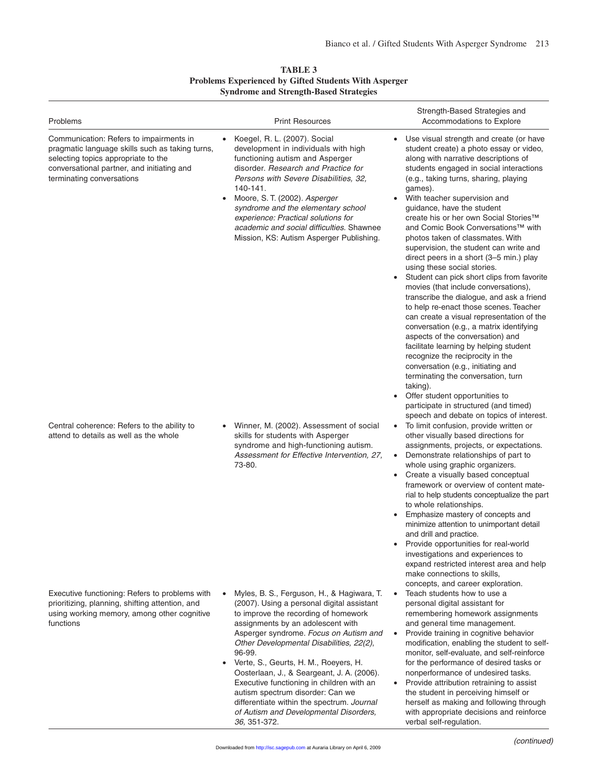#### **Table 3 Problems Experienced by Gifted Students With Asperger Syndrome and Strength-Based Strategies**

| Problems                                                                                                                                                                                                     | <b>Print Resources</b>                                                                                                                                                                                                                                                                                                                                                                                                                                                                                                                                                          | Strength-Based Strategies and<br>Accommodations to Explore                                                                                                                                                                                                                                                                                                                                                                                                                                                                                                                                                                                                                                                                                                                                                                                                                                                                                                                                                                                                                                                                                         |
|--------------------------------------------------------------------------------------------------------------------------------------------------------------------------------------------------------------|---------------------------------------------------------------------------------------------------------------------------------------------------------------------------------------------------------------------------------------------------------------------------------------------------------------------------------------------------------------------------------------------------------------------------------------------------------------------------------------------------------------------------------------------------------------------------------|----------------------------------------------------------------------------------------------------------------------------------------------------------------------------------------------------------------------------------------------------------------------------------------------------------------------------------------------------------------------------------------------------------------------------------------------------------------------------------------------------------------------------------------------------------------------------------------------------------------------------------------------------------------------------------------------------------------------------------------------------------------------------------------------------------------------------------------------------------------------------------------------------------------------------------------------------------------------------------------------------------------------------------------------------------------------------------------------------------------------------------------------------|
| Communication: Refers to impairments in<br>pragmatic language skills such as taking turns,<br>selecting topics appropriate to the<br>conversational partner, and initiating and<br>terminating conversations | Koegel, R. L. (2007). Social<br>$\bullet$<br>development in individuals with high<br>functioning autism and Asperger<br>disorder. Research and Practice for<br>Persons with Severe Disabilities, 32,<br>140-141.<br>Moore, S. T. (2002). Asperger<br>$\bullet$<br>syndrome and the elementary school<br>experience: Practical solutions for<br>academic and social difficulties. Shawnee<br>Mission, KS: Autism Asperger Publishing.                                                                                                                                            | Use visual strength and create (or have<br>$\bullet$<br>student create) a photo essay or video,<br>along with narrative descriptions of<br>students engaged in social interactions<br>(e.g., taking turns, sharing, playing<br>games).<br>With teacher supervision and<br>quidance, have the student<br>create his or her own Social Stories™<br>and Comic Book Conversations™ with<br>photos taken of classmates. With<br>supervision, the student can write and<br>direct peers in a short (3–5 min.) play<br>using these social stories.<br>Student can pick short clips from favorite<br>movies (that include conversations),<br>transcribe the dialogue, and ask a friend<br>to help re-enact those scenes. Teacher<br>can create a visual representation of the<br>conversation (e.g., a matrix identifying<br>aspects of the conversation) and<br>facilitate learning by helping student<br>recognize the reciprocity in the<br>conversation (e.g., initiating and<br>terminating the conversation, turn<br>taking).<br>Offer student opportunities to<br>participate in structured (and timed)<br>speech and debate on topics of interest. |
| Central coherence: Refers to the ability to<br>attend to details as well as the whole                                                                                                                        | Winner, M. (2002). Assessment of social<br>skills for students with Asperger<br>syndrome and high-functioning autism.<br>Assessment for Effective Intervention, 27,<br>73-80.                                                                                                                                                                                                                                                                                                                                                                                                   | To limit confusion, provide written or<br>٠<br>other visually based directions for<br>assignments, projects, or expectations.<br>Demonstrate relationships of part to<br>$\bullet$<br>whole using graphic organizers.<br>Create a visually based conceptual<br>$\bullet$<br>framework or overview of content mate-<br>rial to help students conceptualize the part<br>to whole relationships.<br>Emphasize mastery of concepts and<br>minimize attention to unimportant detail<br>and drill and practice.<br>Provide opportunities for real-world<br>investigations and experiences to<br>expand restricted interest area and help<br>make connections to skills,<br>concepts, and career exploration.                                                                                                                                                                                                                                                                                                                                                                                                                                             |
| Executive functioning: Refers to problems with<br>prioritizing, planning, shifting attention, and<br>using working memory, among other cognitive<br>functions                                                | Myles, B. S., Ferguson, H., & Hagiwara, T.<br>$\bullet$<br>(2007). Using a personal digital assistant<br>to improve the recording of homework<br>assignments by an adolescent with<br>Asperger syndrome. Focus on Autism and<br>Other Developmental Disabilities, 22(2),<br>96-99.<br>Verte, S., Geurts, H. M., Roeyers, H.<br>$\bullet$<br>Oosterlaan, J., & Seargeant, J. A. (2006).<br>Executive functioning in children with an<br>autism spectrum disorder: Can we<br>differentiate within the spectrum. Journal<br>of Autism and Developmental Disorders,<br>36, 351-372. | Teach students how to use a<br>personal digital assistant for<br>remembering homework assignments<br>and general time management.<br>Provide training in cognitive behavior<br>٠<br>modification, enabling the student to self-<br>monitor, self-evaluate, and self-reinforce<br>for the performance of desired tasks or<br>nonperformance of undesired tasks.<br>Provide attribution retraining to assist<br>the student in perceiving himself or<br>herself as making and following through<br>with appropriate decisions and reinforce<br>verbal self-regulation.                                                                                                                                                                                                                                                                                                                                                                                                                                                                                                                                                                               |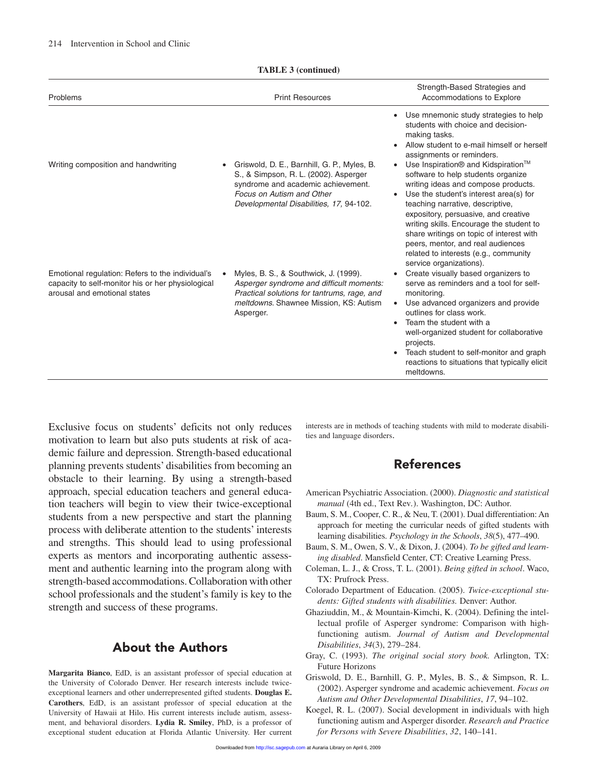| Problems                                                                                                                              | <b>Print Resources</b>                                                                                                                                                                             | Strength-Based Strategies and<br>Accommodations to Explore                                                                                                                                                                                                                                                                                                                                                                                                                                                                                                                         |
|---------------------------------------------------------------------------------------------------------------------------------------|----------------------------------------------------------------------------------------------------------------------------------------------------------------------------------------------------|------------------------------------------------------------------------------------------------------------------------------------------------------------------------------------------------------------------------------------------------------------------------------------------------------------------------------------------------------------------------------------------------------------------------------------------------------------------------------------------------------------------------------------------------------------------------------------|
| Writing composition and handwriting                                                                                                   | Griswold, D. E., Barnhill, G. P., Myles, B.<br>S., & Simpson, R. L. (2002). Asperger<br>syndrome and academic achievement.<br>Focus on Autism and Other<br>Developmental Disabilities, 17, 94-102. | Use mnemonic study strategies to help<br>$\bullet$<br>students with choice and decision-<br>making tasks.<br>Allow student to e-mail himself or herself<br>assignments or reminders.<br>Use Inspiration <sup>®</sup> and Kidspiration <sup>™</sup><br>software to help students organize<br>writing ideas and compose products.<br>Use the student's interest area(s) for<br>teaching narrative, descriptive,<br>expository, persuasive, and creative<br>writing skills. Encourage the student to<br>share writings on topic of interest with<br>peers, mentor, and real audiences |
| Emotional regulation: Refers to the individual's<br>capacity to self-monitor his or her physiological<br>arousal and emotional states | Myles, B. S., & Southwick, J. (1999).<br>Asperger syndrome and difficult moments:<br>Practical solutions for tantrums, rage, and<br>meltdowns. Shawnee Mission, KS: Autism<br>Asperger.            | related to interests (e.g., community<br>service organizations).<br>Create visually based organizers to<br>serve as reminders and a tool for self-<br>monitoring.<br>Use advanced organizers and provide<br>outlines for class work.<br>Team the student with a<br>well-organized student for collaborative<br>projects.<br>Teach student to self-monitor and graph<br>reactions to situations that typically elicit<br>meltdowns.                                                                                                                                                 |

#### **Table 3 (continued)**

Exclusive focus on students' deficits not only reduces motivation to learn but also puts students at risk of academic failure and depression. Strength-based educational planning prevents students' disabilities from becoming an obstacle to their learning. By using a strength-based approach, special education teachers and general education teachers will begin to view their twice-exceptional students from a new perspective and start the planning process with deliberate attention to the students' interests and strengths. This should lead to using professional experts as mentors and incorporating authentic assessment and authentic learning into the program along with strength-based accommodations. Collaboration with other school professionals and the student's family is key to the strength and success of these programs.

## About the Authors

**Margarita Bianco**, EdD, is an assistant professor of special education at the University of Colorado Denver. Her research interests include twiceexceptional learners and other underrepresented gifted students. **Douglas E. Carothers**, EdD, is an assistant professor of special education at the University of Hawaii at Hilo. His current interests include autism, assessment, and behavioral disorders. **Lydia R. Smiley**, PhD, is a professor of exceptional student education at Florida Atlantic University. Her current

interests are in methods of teaching students with mild to moderate disabilities and language disorders.

### References

- American Psychiatric Association. (2000). *Diagnostic and statistical manual* (4th ed., Text Rev*.*). Washington, DC: Author.
- Baum, S. M., Cooper, C. R., & Neu, T. (2001). Dual differentiation: An approach for meeting the curricular needs of gifted students with learning disabilities. *Psychology in the Schools*, *38*(5), 477–490.
- Baum, S. M., Owen, S. V., & Dixon, J. (2004). *To be gifted and learning disabled*. Mansfield Center, CT: Creative Learning Press.
- Coleman, L. J., & Cross, T. L. (2001). *Being gifted in school*. Waco, TX: Prufrock Press.
- Colorado Department of Education. (2005). *Twice-exceptional students: Gifted students with disabilities.* Denver: Author.
- Ghaziuddin, M., & Mountain-Kimchi, K. (2004). Defining the intellectual profile of Asperger syndrome: Comparison with highfunctioning autism. *Journal of Autism and Developmental Disabilities*, *34*(3), 279–284.
- Gray, C. (1993). *The original social story book.* Arlington, TX: Future Horizons
- Griswold, D. E., Barnhill, G. P., Myles, B. S., & Simpson, R. L. (2002). Asperger syndrome and academic achievement. *Focus on Autism and Other Developmental Disabilities*, *17*, 94–102.
- Koegel, R. L. (2007). Social development in individuals with high functioning autism and Asperger disorder. *Research and Practice for Persons with Severe Disabilities*, *32*, 140–141.